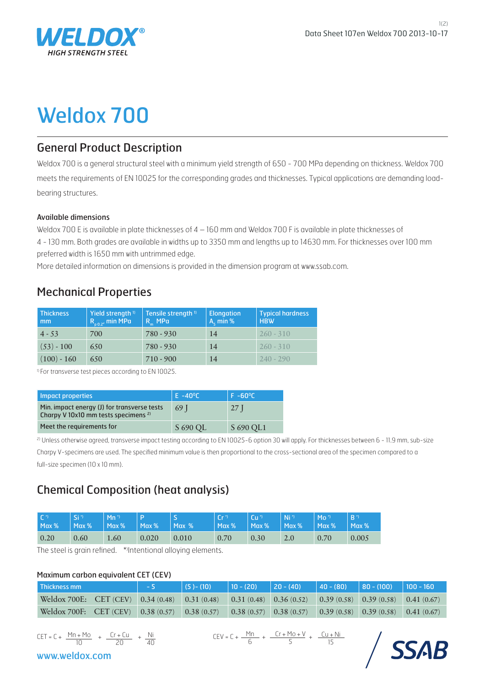

# Weldox 700

## General Product Description

 Weldox 700 is a general structural steel with a minimum yield strength of 650 - 700 MPa depending on thickness. Weldox 700 meets the requirements of EN 10025 for the corresponding grades and thicknesses. Typical applications are demanding loadbearing structures.

#### Available dimensions

Weldox 700 E is available in plate thicknesses of 4 – 160 mm and Weldox 700 F is available in plate thicknesses of 4 - 130 mm. Both grades are available in widths up to 3350 mm and lengths up to 14630 mm. For thicknesses over 100 mm preferred width is 1650 mm with untrimmed edge.

More detailed information on dimensions is provided in the dimension program at www.ssab.com.

## Mechanical Properties

| <b>Thickness</b><br>mm | Yield strength <sup>1)</sup><br>$R_{0.02}$ , min MPa | Tensile strength <sup>1</sup><br>$R_{m}$ MP $\alpha$ | <b>Elongation</b><br>$A_c$ min % | Typical hardness<br><b>HBW</b> |
|------------------------|------------------------------------------------------|------------------------------------------------------|----------------------------------|--------------------------------|
| $4 - 53$               | 700                                                  | $780 - 930$                                          | 14                               | $260 - 310$                    |
| $(53) - 100$           | 650                                                  | 780 - 930                                            | 14                               | $260 - 310$                    |
| $(100) - 160$          | 650                                                  | $710 - 900$                                          | 14                               | $240 - 290$                    |

<sup>1)</sup> For transverse test pieces according to EN 10025.

| Impact properties                                                                              | $E - 40^{\circ}C$ | $F - 60^{\circ}C$ |
|------------------------------------------------------------------------------------------------|-------------------|-------------------|
| Min. impact energy (J) for transverse tests<br>Charpy V 10x10 mm tests specimens <sup>2)</sup> | 69 I              | 27 I              |
| Meet the requirements for                                                                      | S 690 OL          | S 690 OL1         |

<sup>2)</sup> Unless otherwise agreed, transverse impact testing according to EN 10025-6 option 30 will apply. For thicknesses between 6 - 11.9 mm, sub-size Charpy V-specimens are used. The specified minimum value is then proportional to the cross-sectional area of the specimen compared to a full-size specimen (10 x 10 mm).

## Chemical Composition (heat analysis)

| $\Gamma$ <sup>*</sup> | ا" Si | $Mn^*$ | $\parallel$ Max % | ⌒     | $Cr^{\gamma}$ | $Cu^*$        | N <sup>i</sup> | $Mo^{\gamma}$ | $B^{\prime}$ |
|-----------------------|-------|--------|-------------------|-------|---------------|---------------|----------------|---------------|--------------|
| $Max\%$               | Max % | Max %  |                   | Max % | Max%          | $\vert$ Max % | Max %          | $\vert$ Max % | $Max\%$      |
| 0.20                  | 0.60  | 1.60   | 0.020             | 0.010 | 0.70          | 0.30          | 2.0            | 0.70          | 0.005        |

The steel is grain refined. \*'Intentional alloying elements.

#### Maximum carbon equivalent CET (CEV)

| l Thickness mm                                                                                             | $\vert$ (5) – (10) | $\vert$ 10 - (20) $\vert$ 20 - (40) $\vert$ 40 - (80) $\vert$ 80 - (100) $\vert$ 100 - 160 |  |  |
|------------------------------------------------------------------------------------------------------------|--------------------|--------------------------------------------------------------------------------------------|--|--|
| Weldox 700E: CET (CEV) 0.34 (0.48) 0.31 (0.48) 0.31 (0.48) 0.36 (0.52) 0.39 (0.58) 0.39 (0.58) 0.41 (0.67) |                    |                                                                                            |  |  |
| Weldox 700F: CET (CEV) 0.38 (0.57) 0.38 (0.57) 0.38 (0.57) 0.38 (0.57) 0.39 (0.58) 0.39 (0.58) 0.41 (0.67) |                    |                                                                                            |  |  |

$$
CET = C + \frac{Mn + Mo}{10} + \frac{Cr + Cu}{20} + \frac{Ni}{40}
$$

www.weldox.com

 $CET = C + \frac{Mn + Mo}{r} + \frac{Cr + Cu}{r} + \frac{Ni}{r}$   $CEV = C + \frac{Mn}{r} + \frac{Cr + Mo + V}{r} + \frac{Cu + Ni}{r}$ 15  $Cr + Mo + V$ 5 Mn 6